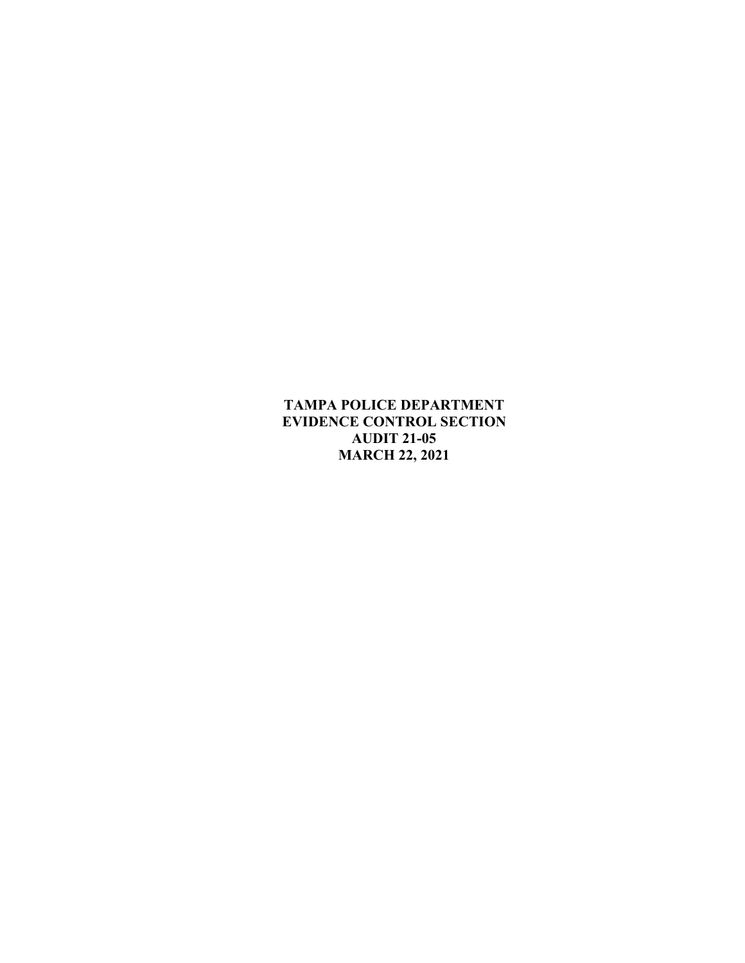**TAMPA POLICE DEPARTMENT EVIDENCE CONTROL SECTION AUDIT 21-05 MARCH 22, 2021**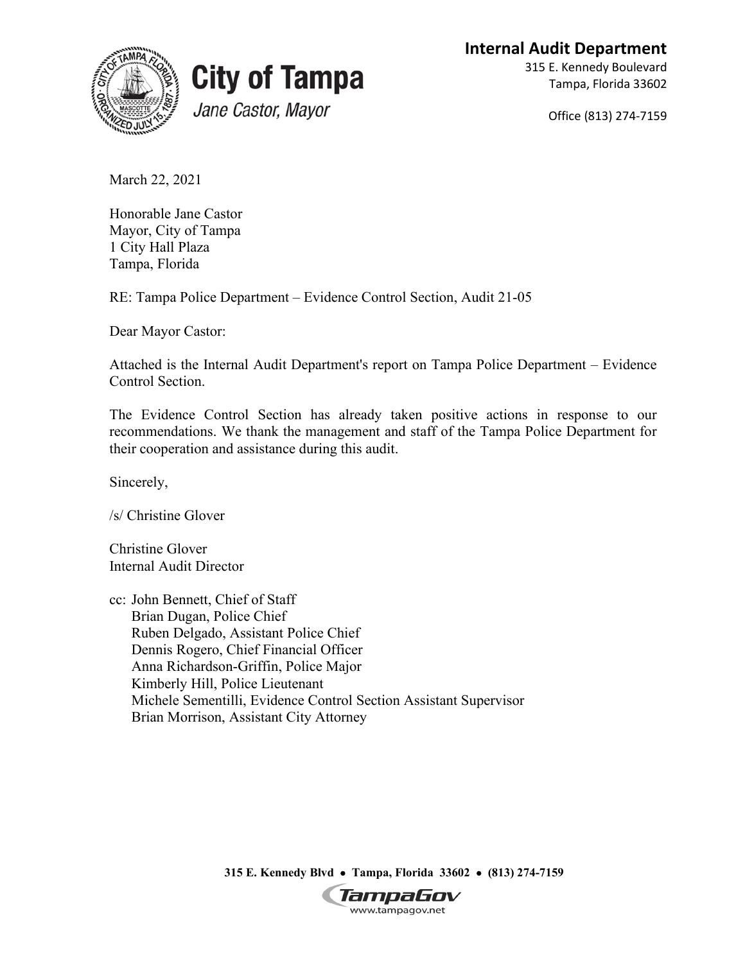**Internal Audit Department**





315 E. Kennedy Boulevard Tampa, Florida 33602

Office (813) 274-7159

March 22, 2021

Honorable Jane Castor Mayor, City of Tampa 1 City Hall Plaza Tampa, Florida

RE: Tampa Police Department – Evidence Control Section, Audit 21-05

Dear Mayor Castor:

Attached is the Internal Audit Department's report on Tampa Police Department – Evidence Control Section.

The Evidence Control Section has already taken positive actions in response to our recommendations. We thank the management and staff of the Tampa Police Department for their cooperation and assistance during this audit.

Sincerely,

/s/ Christine Glover

Christine Glover Internal Audit Director

cc: John Bennett, Chief of Staff Brian Dugan, Police Chief Ruben Delgado, Assistant Police Chief Dennis Rogero, Chief Financial Officer Anna Richardson-Griffin, Police Major Kimberly Hill, Police Lieutenant Michele Sementilli, Evidence Control Section Assistant Supervisor Brian Morrison, Assistant City Attorney

**315 E. Kennedy Blvd** • **Tampa, Florida 33602** • **(813) 274-7159**

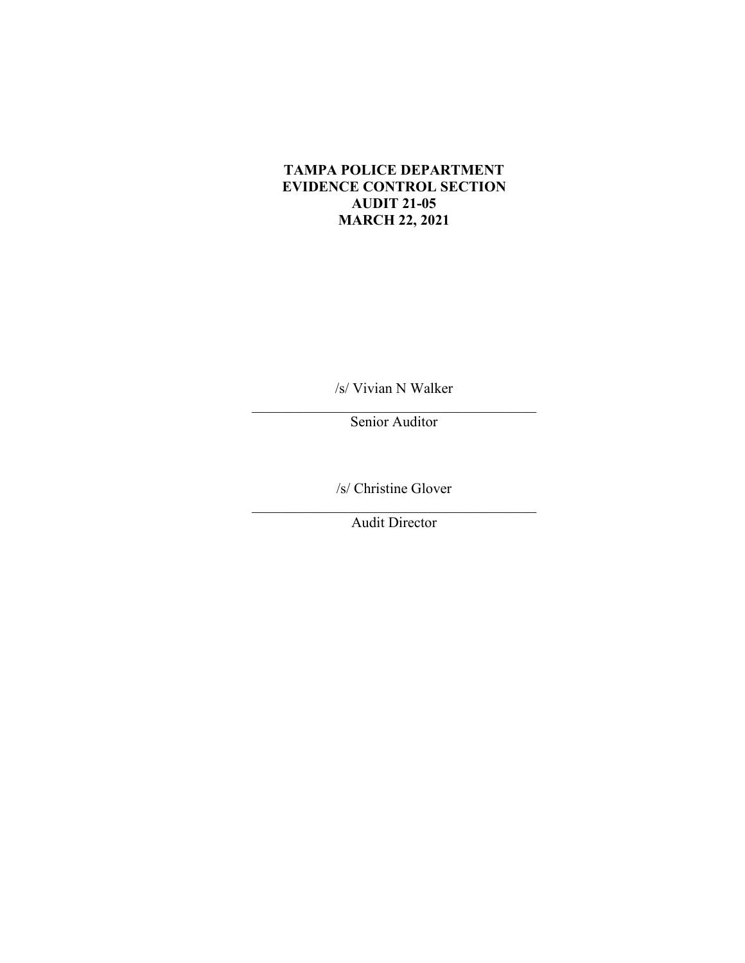## **TAMPA POLICE DEPARTMENT EVIDENCE CONTROL SECTION AUDIT 21-05 MARCH 22, 2021**

/s/ Vivian N Walker  $\mathcal{L}_\text{max}$  and  $\mathcal{L}_\text{max}$  and  $\mathcal{L}_\text{max}$  and  $\mathcal{L}_\text{max}$ 

Senior Auditor

/s/ Christine Glover

Audit Director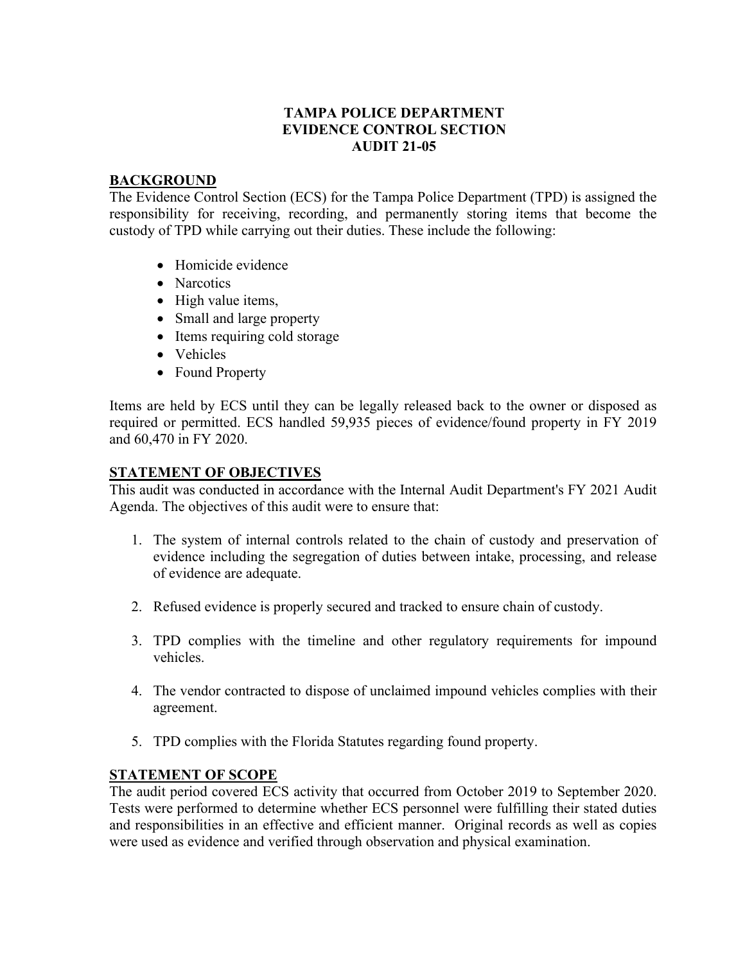## **TAMPA POLICE DEPARTMENT EVIDENCE CONTROL SECTION AUDIT 21-05**

#### **BACKGROUND**

The Evidence Control Section (ECS) for the Tampa Police Department (TPD) is assigned the responsibility for receiving, recording, and permanently storing items that become the custody of TPD while carrying out their duties. These include the following:

- Homicide evidence
- Narcotics
- High value items,
- Small and large property
- Items requiring cold storage
- Vehicles
- Found Property

Items are held by ECS until they can be legally released back to the owner or disposed as required or permitted. ECS handled 59,935 pieces of evidence/found property in FY 2019 and 60,470 in FY 2020.

## **STATEMENT OF OBJECTIVES**

This audit was conducted in accordance with the Internal Audit Department's FY 2021 Audit Agenda. The objectives of this audit were to ensure that:

- 1. The system of internal controls related to the chain of custody and preservation of evidence including the segregation of duties between intake, processing, and release of evidence are adequate.
- 2. Refused evidence is properly secured and tracked to ensure chain of custody.
- 3. TPD complies with the timeline and other regulatory requirements for impound vehicles.
- 4. The vendor contracted to dispose of unclaimed impound vehicles complies with their agreement.
- 5. TPD complies with the Florida Statutes regarding found property.

## **STATEMENT OF SCOPE**

The audit period covered ECS activity that occurred from October 2019 to September 2020. Tests were performed to determine whether ECS personnel were fulfilling their stated duties and responsibilities in an effective and efficient manner. Original records as well as copies were used as evidence and verified through observation and physical examination.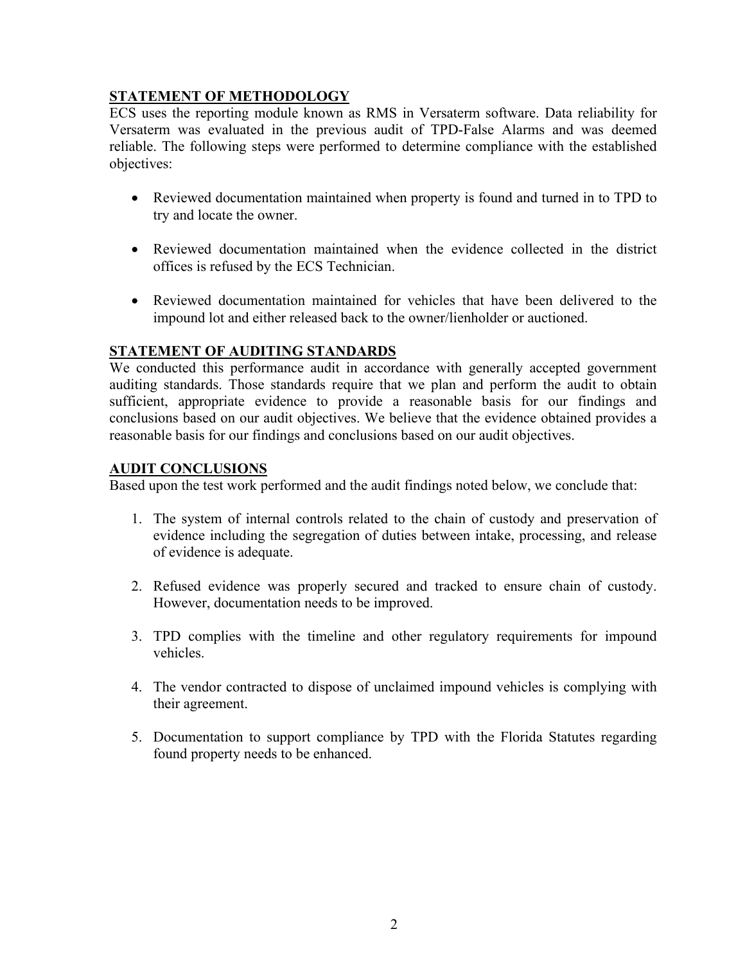# **STATEMENT OF METHODOLOGY**

ECS uses the reporting module known as RMS in Versaterm software. Data reliability for Versaterm was evaluated in the previous audit of TPD-False Alarms and was deemed reliable. The following steps were performed to determine compliance with the established objectives:

- Reviewed documentation maintained when property is found and turned in to TPD to try and locate the owner.
- Reviewed documentation maintained when the evidence collected in the district offices is refused by the ECS Technician.
- Reviewed documentation maintained for vehicles that have been delivered to the impound lot and either released back to the owner/lienholder or auctioned.

# **STATEMENT OF AUDITING STANDARDS**

We conducted this performance audit in accordance with generally accepted government auditing standards. Those standards require that we plan and perform the audit to obtain sufficient, appropriate evidence to provide a reasonable basis for our findings and conclusions based on our audit objectives. We believe that the evidence obtained provides a reasonable basis for our findings and conclusions based on our audit objectives.

## **AUDIT CONCLUSIONS**

Based upon the test work performed and the audit findings noted below, we conclude that:

- 1. The system of internal controls related to the chain of custody and preservation of evidence including the segregation of duties between intake, processing, and release of evidence is adequate.
- 2. Refused evidence was properly secured and tracked to ensure chain of custody. However, documentation needs to be improved.
- 3. TPD complies with the timeline and other regulatory requirements for impound vehicles.
- 4. The vendor contracted to dispose of unclaimed impound vehicles is complying with their agreement.
- 5. Documentation to support compliance by TPD with the Florida Statutes regarding found property needs to be enhanced.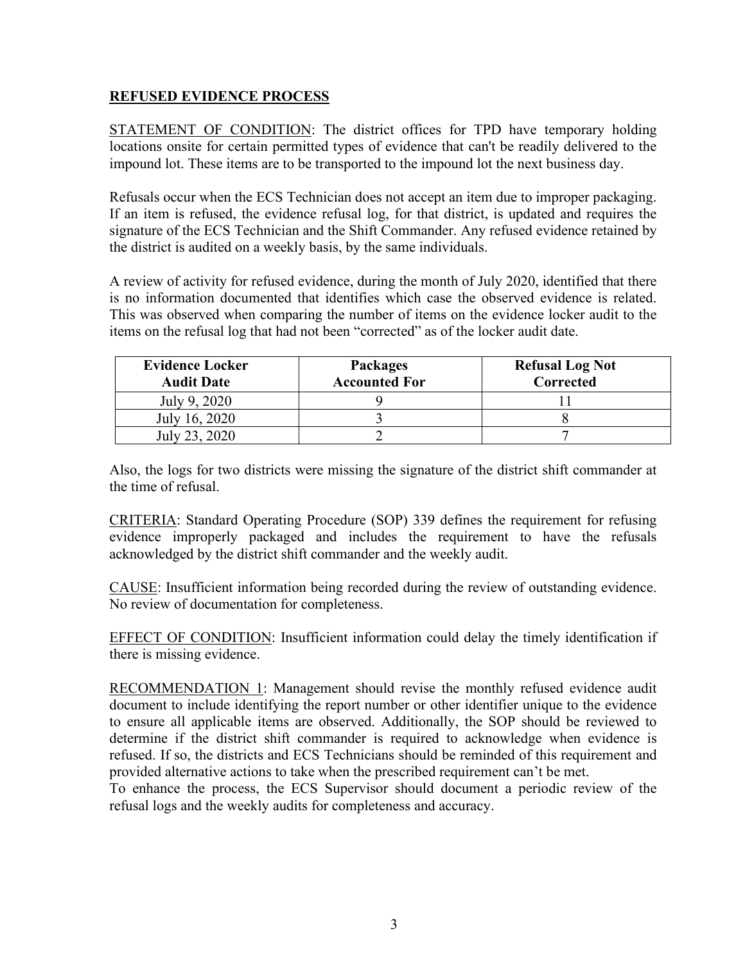## **REFUSED EVIDENCE PROCESS**

STATEMENT OF CONDITION: The district offices for TPD have temporary holding locations onsite for certain permitted types of evidence that can't be readily delivered to the impound lot. These items are to be transported to the impound lot the next business day.

Refusals occur when the ECS Technician does not accept an item due to improper packaging. If an item is refused, the evidence refusal log, for that district, is updated and requires the signature of the ECS Technician and the Shift Commander. Any refused evidence retained by the district is audited on a weekly basis, by the same individuals.

A review of activity for refused evidence, during the month of July 2020, identified that there is no information documented that identifies which case the observed evidence is related. This was observed when comparing the number of items on the evidence locker audit to the items on the refusal log that had not been "corrected" as of the locker audit date.

| <b>Evidence Locker</b><br><b>Audit Date</b> | <b>Packages</b><br><b>Accounted For</b> | <b>Refusal Log Not</b><br>Corrected |
|---------------------------------------------|-----------------------------------------|-------------------------------------|
| July 9, 2020                                |                                         |                                     |
| July 16, 2020                               |                                         |                                     |
| July 23, 2020                               |                                         |                                     |

Also, the logs for two districts were missing the signature of the district shift commander at the time of refusal.

CRITERIA: Standard Operating Procedure (SOP) 339 defines the requirement for refusing evidence improperly packaged and includes the requirement to have the refusals acknowledged by the district shift commander and the weekly audit.

CAUSE: Insufficient information being recorded during the review of outstanding evidence. No review of documentation for completeness.

EFFECT OF CONDITION: Insufficient information could delay the timely identification if there is missing evidence.

RECOMMENDATION 1: Management should revise the monthly refused evidence audit document to include identifying the report number or other identifier unique to the evidence to ensure all applicable items are observed. Additionally, the SOP should be reviewed to determine if the district shift commander is required to acknowledge when evidence is refused. If so, the districts and ECS Technicians should be reminded of this requirement and provided alternative actions to take when the prescribed requirement can't be met.

To enhance the process, the ECS Supervisor should document a periodic review of the refusal logs and the weekly audits for completeness and accuracy.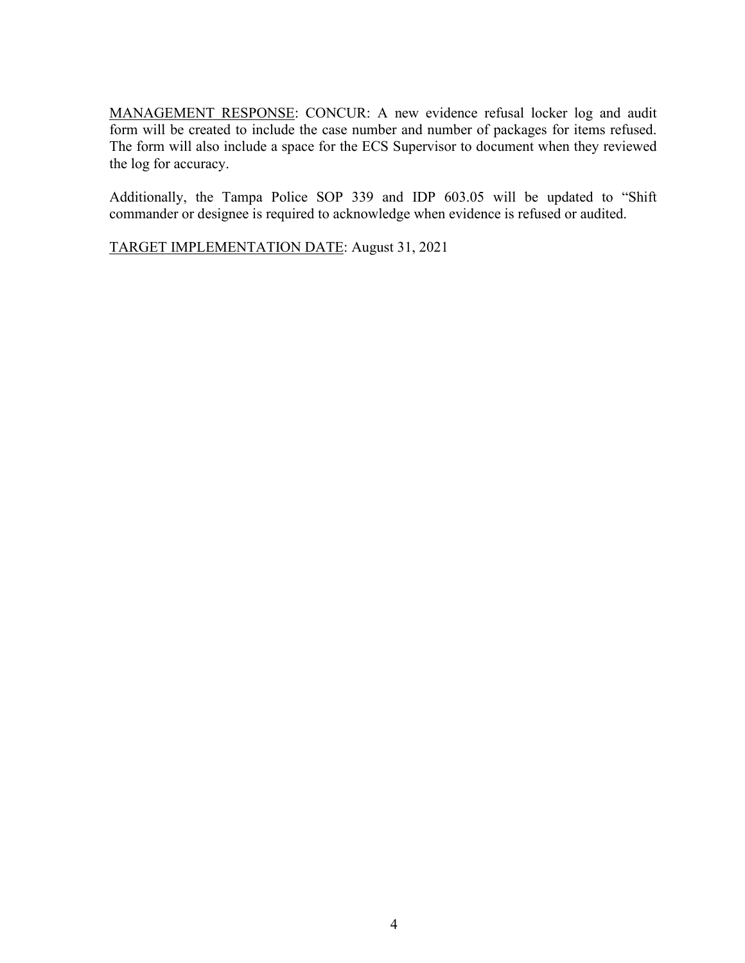MANAGEMENT RESPONSE: CONCUR: A new evidence refusal locker log and audit form will be created to include the case number and number of packages for items refused. The form will also include a space for the ECS Supervisor to document when they reviewed the log for accuracy.

Additionally, the Tampa Police SOP 339 and IDP 603.05 will be updated to "Shift commander or designee is required to acknowledge when evidence is refused or audited.

TARGET IMPLEMENTATION DATE: August 31, 2021